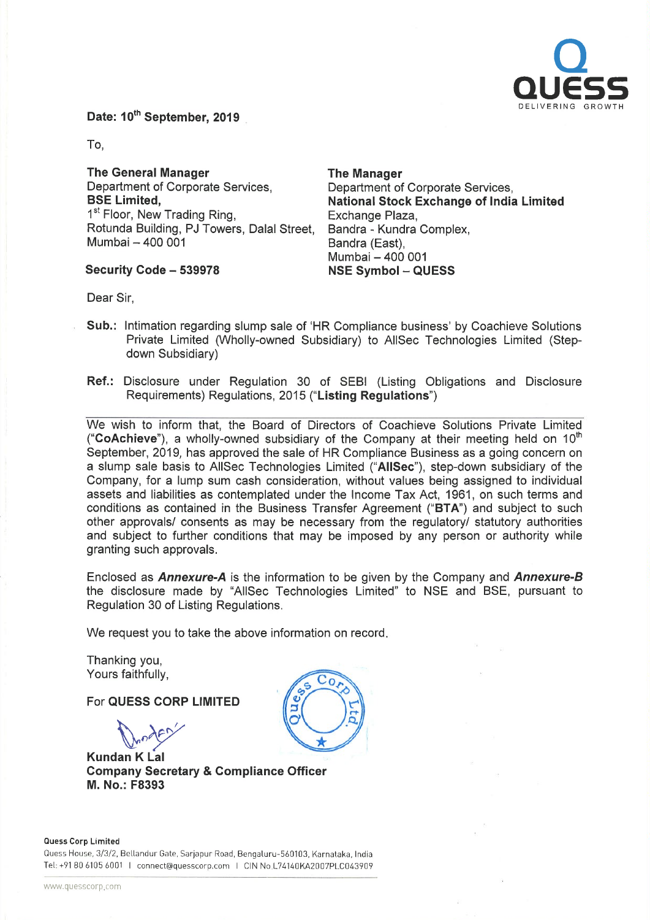

Date: 10<sup>th</sup> September, 2019

To,

The General Manager Department of Corporate Services, BSE Limited, 1<sup>st</sup> Floor, New Trading Ring, Rotunda Building, PJ Towers, Dalal Street, Mumbai - 400 001

Security Code - 539978

The Manager Department of Corporate Services, National Stock Exchange of India Limited Exchange Plaza, Sandra - Kundra Complex, Bandra (East), Mumbai - 400 001 NSE Symbol - QUESS

Dear Sir,

- Sub.: Intimation regarding slump sale of 'HR Compliance business' by Coachieve Solutions Private Limited (Wholly-owned Subsidiary) to AIISec Technologies Limited (Stepdown Subsidiary)
- Ref.: Disclosure under Regulation 30 of SEBI (Listing Obligations and Disclosure Requirements) Regulations, 2015 ("Listing Regulations")

We wish to inform that, the Board of Directors of Coachieve Solutions Private Limited ("CoAchieve"), a wholly-owned subsidiary of the Company at their meeting held on  $10<sup>th</sup>$ September, 2019, has approved the sale of HR Compliance Business as <sup>a</sup> going concern on <sup>a</sup> slump sale basis to AIISec Technologies Limited ("AIISec"), step-down subsidiary of the Company, for <sup>a</sup> lump sum cash consideration, without values being assigned to individual assets and liabilities as contemplated under the Income Tax Act, 1961, on such terms and conditions as contained in the Business Transfer Agreement ("BTA") and subject to such other approvals/ consents as may be necessary from the regulatory/ statutory authorities and subject to further conditions that may be imposed by any person or authority while granting such approvals.

Enclosed as **Annexure-A** is the information to be given by the Company and **Annexure-B** the disclosure made by "AIISec Technologies Limited" to NSE and BSE, pursuant to Regulation 30 of Listing Regulations.

We request you to take the above information on record.

Thanking you, Yours faithfully,

For QUESS CORP LIMITED

the d

Kundan K Lal Company Secretary & Compliance Officer M. No.: F8393



Quess House, 3/3/2, Bellandur Gate. Sarjapur Road, Bengaluru-560103, Karnataka, India Tel: +91 80 6105 6001 I connect@quesscorp.com I CIN No.L74140KA2007PLC043909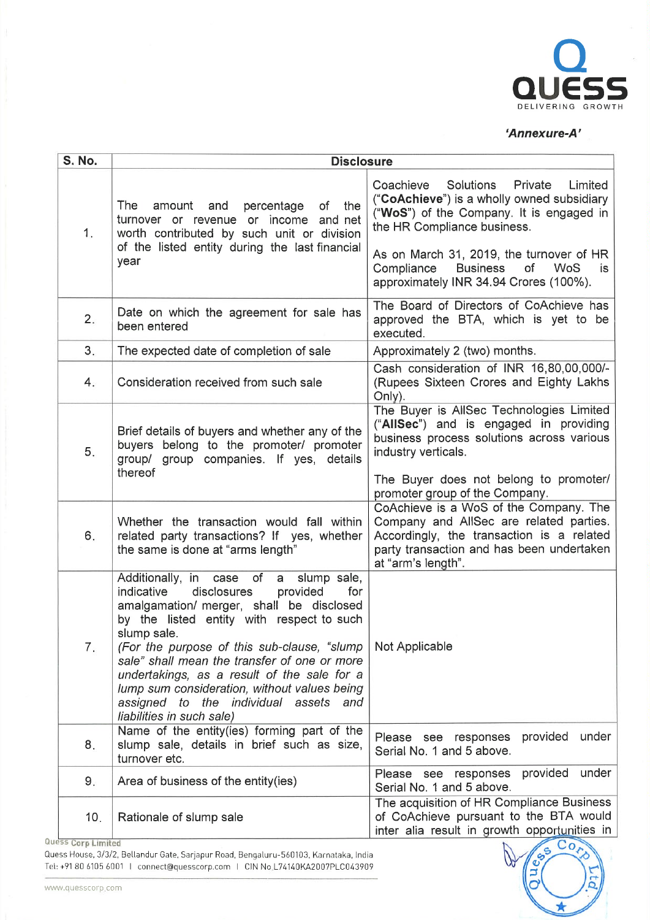

## 'Annexure-A'

| <b>S. No.</b> | <b>Disclosure</b>                                                                                                                                                                                                                                                                                                                                                                                                                                                                      |                                                                                                                                                                                                               |  |
|---------------|----------------------------------------------------------------------------------------------------------------------------------------------------------------------------------------------------------------------------------------------------------------------------------------------------------------------------------------------------------------------------------------------------------------------------------------------------------------------------------------|---------------------------------------------------------------------------------------------------------------------------------------------------------------------------------------------------------------|--|
| 1.            | The<br>percentage<br>of<br>amount<br>and<br>the<br>turnover or revenue or income and net<br>worth contributed by such unit or division<br>of the listed entity during the last financial                                                                                                                                                                                                                                                                                               | Coachieve<br>Solutions<br>Private<br>Limited<br>("CoAchieve") is a wholly owned subsidiary<br>("WoS") of the Company. It is engaged in<br>the HR Compliance business.                                         |  |
|               | year                                                                                                                                                                                                                                                                                                                                                                                                                                                                                   | As on March 31, 2019, the turnover of HR<br>Compliance<br><b>Business</b><br>of<br><b>WoS</b><br>is.<br>approximately INR 34.94 Crores (100%).                                                                |  |
| 2.            | Date on which the agreement for sale has<br>been entered                                                                                                                                                                                                                                                                                                                                                                                                                               | The Board of Directors of CoAchieve has<br>approved the BTA, which is yet to be<br>executed.                                                                                                                  |  |
| 3.            | The expected date of completion of sale                                                                                                                                                                                                                                                                                                                                                                                                                                                | Approximately 2 (two) months.                                                                                                                                                                                 |  |
| 4.            | Consideration received from such sale                                                                                                                                                                                                                                                                                                                                                                                                                                                  | Cash consideration of INR 16,80,00,000/-<br>(Rupees Sixteen Crores and Eighty Lakhs)<br>Only).                                                                                                                |  |
| 5.            | Brief details of buyers and whether any of the<br>buyers belong to the promoter/ promoter<br>group/ group companies. If yes, details<br>thereof                                                                                                                                                                                                                                                                                                                                        | The Buyer is AllSec Technologies Limited<br>("AllSec") and is engaged in providing<br>business process solutions across various<br>industry verticals.<br>The Buyer does not belong to promoter/              |  |
| 6.            | Whether the transaction would fall within<br>related party transactions? If yes, whether<br>the same is done at "arms length"                                                                                                                                                                                                                                                                                                                                                          | promoter group of the Company.<br>CoAchieve is a WoS of the Company. The<br>Company and AllSec are related parties.<br>Accordingly, the transaction is a related<br>party transaction and has been undertaken |  |
| 7.            | Additionally, in case of<br>a slump sale,<br>disclosures<br>for<br>indicative<br>provided<br>amalgamation/ merger, shall be disclosed<br>by the listed entity with respect to such<br>slump sale.<br>(For the purpose of this sub-clause, "slump   Not Applicable<br>sale" shall mean the transfer of one or more<br>undertakings, as a result of the sale for a<br>lump sum consideration, without values being<br>assigned to the individual assets and<br>liabilities in such sale) | at "arm's length".                                                                                                                                                                                            |  |
| 8.            | Name of the entity(ies) forming part of the<br>slump sale, details in brief such as size,<br>turnover etc.                                                                                                                                                                                                                                                                                                                                                                             | provided<br>under<br>Please see responses<br>Serial No. 1 and 5 above.                                                                                                                                        |  |
| 9.            | Area of business of the entity(ies)                                                                                                                                                                                                                                                                                                                                                                                                                                                    | provided<br>under<br>Please see responses<br>Serial No. 1 and 5 above.                                                                                                                                        |  |
| 10.           | Rationale of slump sale                                                                                                                                                                                                                                                                                                                                                                                                                                                                | The acquisition of HR Compliance Business<br>of CoAchieve pursuant to the BTA would<br>inter alia result in growth opportunities in                                                                           |  |

Quess Corp Limited

ess Corp Limited<br>
ess House, 3/3/2, Bellandur Gate, Sarjapur Road, Bengaluru-560103, Karnataka, India<br>
: +91 80 6105 6001 | connect@quesscorp.com | CIN No.L74140KA2007PLC043909 ;<br>
M. QUESSCORP.com COV .5. Qu Tel: +91 80 6105 6001 | connect@quesscorp.com | CIN No.L74140KA2007PLC043909

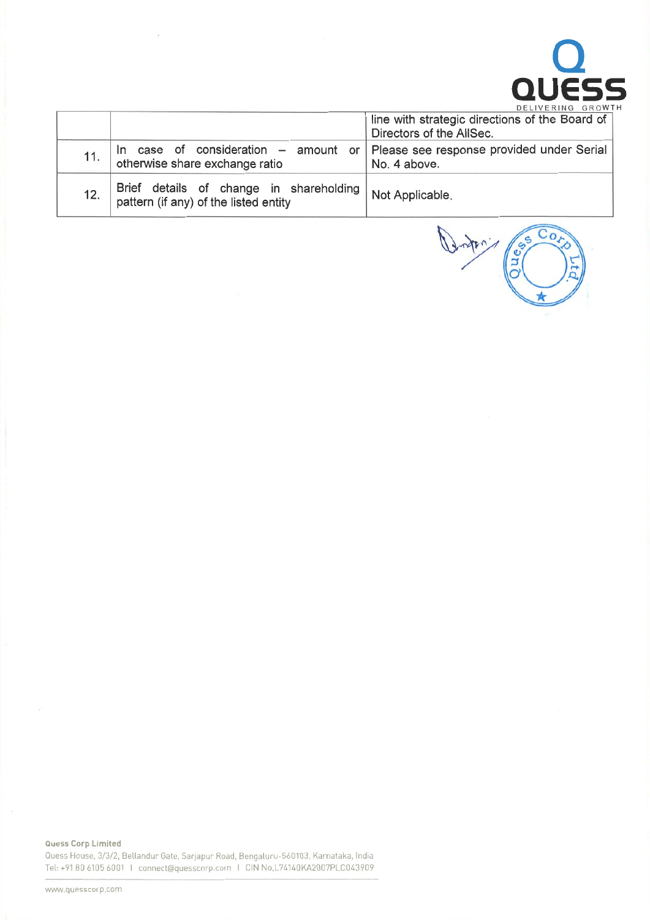

|     |                                                                                                                    | line with strategic directions of the Board of |
|-----|--------------------------------------------------------------------------------------------------------------------|------------------------------------------------|
|     |                                                                                                                    | Directors of the AllSec.                       |
|     | In case of consideration $-$ amount or Please see response provided under Serial<br>otherwise share exchange ratio | No. 4 above.                                   |
| 12. | Brief details of change in shareholding Not Applicable.<br>pattern (if any) of the listed entity                   |                                                |

i.

Dunton (2008)  $\overline{C_0}$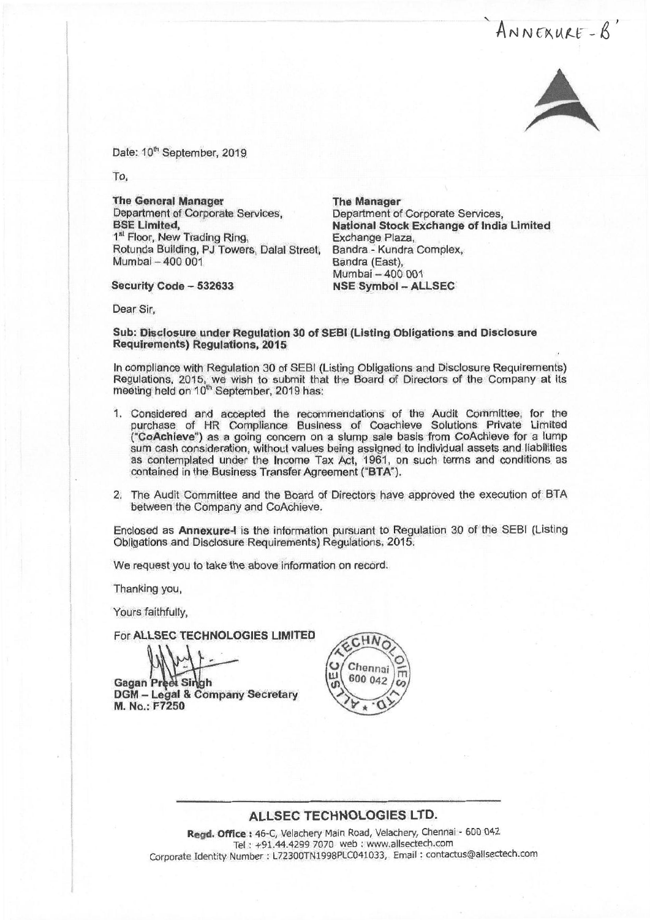ANNEXURE-B



Date: 10<sup>th</sup> September, 2019.

To,

The General Manager Department of Corporate Services, BSE Limited, 1<sup>st</sup> Floor, New Trading Ring, Rotunda Building, PJ Towers, Dalal Street, Mumbai - 400 001

Security Code - 532633

The Manager Department of Corporate Services, National Stock Exchange of India Limited Exchange Plaza, Bandra - Kundra Complex, Bandra (East), Mumbai-400 001 NSE Symbol - ALLSEC

Dear Sir,

Sub: Disclosure under Regulation 30 of SEel (Listing Obligations and Disclosure Requirements) Requlations, 2015

In compliance with Regulation 30 of SEBI (Listing Obligations and Disclosure Requirements) Regulations, 2015, we wish to submit that the Board of Directors of the Company at its meeting held on 10<sup>th</sup> September, 2019 has

- 1. Considered and accepted the recommendations of the Audit Committee, for the purchase of HR Compliance Business of Coachieve Solutions Private Limited ("CoAchleve") as <sup>a</sup> going concern on <sup>a</sup> slump sale basis from CoAchieve for <sup>a</sup> lump sum cash consideration, without values being assigned to Individual assets and liabilities as contemplated under the Income Tax Act, 1961, on such terms and conditions as contained in the Business Transfer Agreement ("BTA").
- 2. The Audit Committee and the Board of Directors have approved the execution of BT A between the Company and CoAchieve.

Enclosed as Annexure-I is the information pursuant to Regulation 30 of the SEBI (Listing Obligations and Disclosure Requirements) Regufations, 2015.

We request you to take the above information on record.

Thanking you,

Yours faithfully,

For ALLSEC TECHNOLOGIES LIMITED

**Gagan Preet Singh** OGM - Legal & Company Secretary M. No.: F7250



## ALLSEC TECHNOLOGIES LTD.

Regd. Office <sup>t</sup> 46-C, Velachery Main Road, Velachery, Chennai - <sup>600</sup> <sup>042</sup> Tel : +91.44.4299 7070 web : www.allsectech.com Corporate Identity Number: L72300TN1998PLC041033, Email : contactus@allsectech.com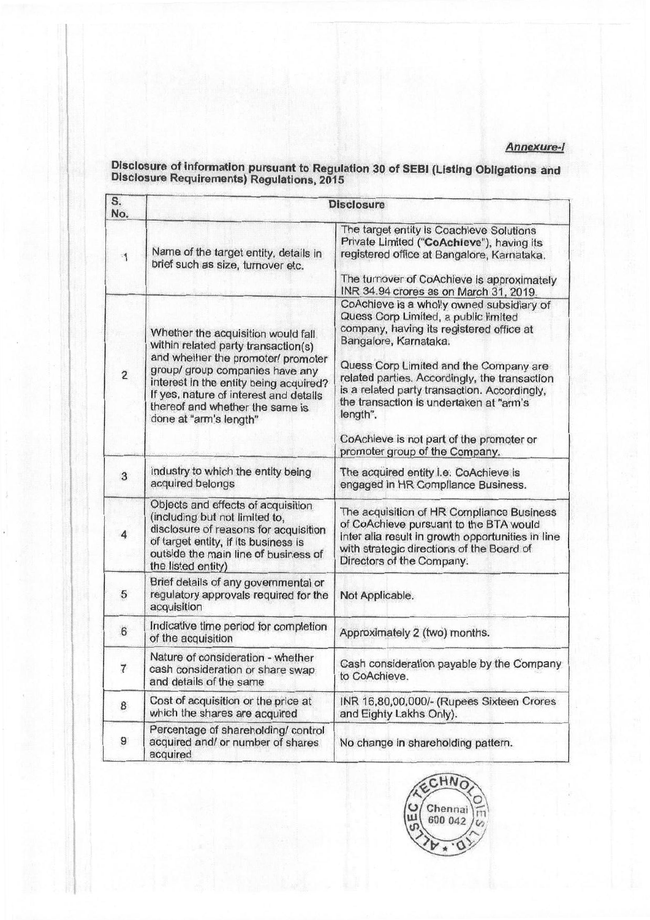## Annexure-/

## S. Disclosure No. The target entity is Coachieve Solutions Private Limited ("CoAchleve"), having its 1 Name of the target entity, details in registered office at Bangalore, Karnataka. brief such as size, turnover etc. The turnover of CoAchieve is approximately INR 34.94 crores as on March 31 2019. CoAchleve is <sup>a</sup> wholly owned subsidiary of Quess Corp Limited, <sup>a</sup> public limited Whether the acquisition would fall company, having its registered office at vithin related party transaction (c) Bangalore, Karnataka. within related party transaction(s)<br>and whether the promoter/ promoter 2<br>
group/ group companies have any<br>
interest in the entity being acquired?<br>
If yes, nature of interest and details<br>
is a related party transaction. Accordingly, the transaction is undertaken at "arm's there is  $\left\{ \frac{1}{1} \right\}$  the transaction is undertaken at "arm's denote". done at "arm's length" CoAchieve is not part of the promoter or promoter arouo of the Companv. 3 | Industry to which the entity being | The acquired entity i.e. CoAchieve is acquired belongs | engaged in HR Compliance Business engaged in HR Compliance Business. Objects and effects of acquisition<br>(including but not limited to, of CoAchieve pursuant to the BTA would<br>disclosure of reasons for acquisition 4 disclosure of reasons for acquisition inter alia result in growth opportunities in line of target entity, if its business is outside the main line of business of but the listed entity) **Directors** of the Company. Brief details of any governmental or 5 regulatory approvals required for the Not Applicable. acquisition  $\begin{array}{c|c|c|c} \hline \text{Indicative time period for completion} & \text{Approximately 2 (two) months.} \end{array}$ Nature of consideration - whether cash consideration payable by the Company<br>and details of the same to CoAchieve. 8 Cost of acquisition or the price at INR 16,80,00,000/- (Rupees Sixteen Crores which the shares are acquired and Eighty Lakhs Only). which the shares are acquired Percentage of shareholding/ control 9 acquired and/ or number of shares No change in shareholding pattern. acquired

Disclosure of information pursuant to Regulation 30 of SEBI (Listing Obligations and Disclosure Requirements) Regulations, <sup>2015</sup>